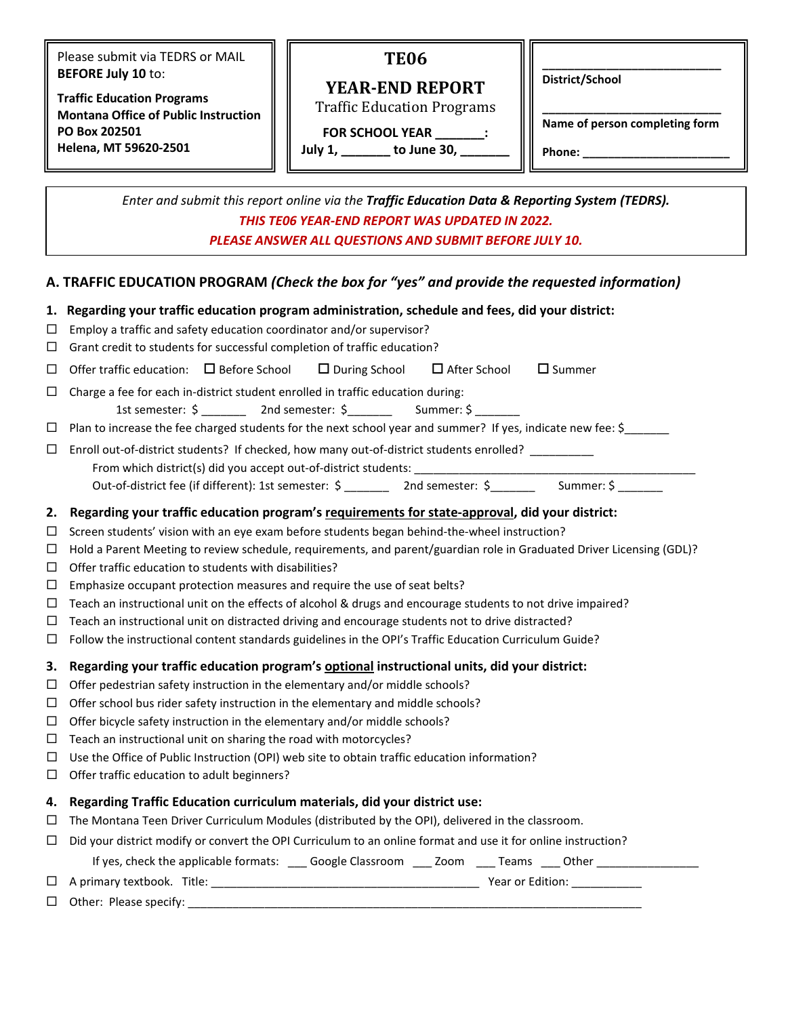Please submit via TEDRS or MAIL **BEFORE July 10** to:

**Traffic Education Programs Montana Office of Public Instruction PO Box 202501 Helena, MT 59620-2501**

# **TE06**

**YEAR-END REPORT** Traffic Education Programs **District/School**

**FOR SCHOOL YEAR \_\_\_\_\_\_\_:** 

**July 1, \_\_\_\_\_\_\_ to June 30, \_\_\_\_\_\_\_**

**\_\_\_\_\_\_\_\_\_\_\_\_\_\_\_\_\_\_\_\_\_\_\_\_\_\_\_\_ Name of person completing form**

**\_\_\_\_\_\_\_\_\_\_\_\_\_\_\_\_\_\_\_\_\_\_\_\_\_\_\_\_**

**Phone: \_\_\_\_\_\_\_\_\_\_\_\_\_\_\_\_\_\_\_\_\_\_\_**

*Enter and submit this report online via the Traffic Education Data & Reporting System (TEDRS). THIS TE06 YEAR-END REPORT WAS UPDATED IN 2022. PLEASE ANSWER ALL QUESTIONS AND SUBMIT BEFORE JULY 10.*

## **A. TRAFFIC EDUCATION PROGRAM** *(Check the box for "yes" and provide the requested information)*

|                                                                                                                                                                                                                    | 1. Regarding your traffic education program administration, schedule and fees, did your district:                                                |  |  |  |  |
|--------------------------------------------------------------------------------------------------------------------------------------------------------------------------------------------------------------------|--------------------------------------------------------------------------------------------------------------------------------------------------|--|--|--|--|
| $\Box$<br>$\Box$                                                                                                                                                                                                   | Employ a traffic and safety education coordinator and/or supervisor?<br>Grant credit to students for successful completion of traffic education? |  |  |  |  |
| $\Box$                                                                                                                                                                                                             | Offer traffic education: $\Box$ Before School $\Box$ During School $\Box$ After School<br>$\square$ Summer                                       |  |  |  |  |
|                                                                                                                                                                                                                    |                                                                                                                                                  |  |  |  |  |
| Charge a fee for each in-district student enrolled in traffic education during:<br>$\Box$<br>1st semester: \$ ___________ 2nd semester: \$ _________ Summer: \$ _______                                            |                                                                                                                                                  |  |  |  |  |
|                                                                                                                                                                                                                    | $\Box$ Plan to increase the fee charged students for the next school year and summer? If yes, indicate new fee: \$                               |  |  |  |  |
|                                                                                                                                                                                                                    |                                                                                                                                                  |  |  |  |  |
| Enroll out-of-district students? If checked, how many out-of-district students enrolled? ________<br>$\Box$<br>From which district(s) did you accept out-of-district students: ___________________________________ |                                                                                                                                                  |  |  |  |  |
|                                                                                                                                                                                                                    | Out-of-district fee (if different): 1st semester: \$ ________ 2nd semester: \$ _______ Summer: \$ ______                                         |  |  |  |  |
|                                                                                                                                                                                                                    | 2. Regarding your traffic education program's requirements for state-approval, did your district:                                                |  |  |  |  |
| $\Box$                                                                                                                                                                                                             | Screen students' vision with an eye exam before students began behind-the-wheel instruction?                                                     |  |  |  |  |
| $\Box$                                                                                                                                                                                                             | Hold a Parent Meeting to review schedule, requirements, and parent/guardian role in Graduated Driver Licensing (GDL)?                            |  |  |  |  |
| $\Box$                                                                                                                                                                                                             | Offer traffic education to students with disabilities?                                                                                           |  |  |  |  |
| $\Box$                                                                                                                                                                                                             | Emphasize occupant protection measures and require the use of seat belts?                                                                        |  |  |  |  |
| $\Box$                                                                                                                                                                                                             | Teach an instructional unit on the effects of alcohol & drugs and encourage students to not drive impaired?                                      |  |  |  |  |
| $\Box$                                                                                                                                                                                                             | Teach an instructional unit on distracted driving and encourage students not to drive distracted?                                                |  |  |  |  |
| $\Box$                                                                                                                                                                                                             | Follow the instructional content standards guidelines in the OPI's Traffic Education Curriculum Guide?                                           |  |  |  |  |
| 3.                                                                                                                                                                                                                 | Regarding your traffic education program's optional instructional units, did your district:                                                      |  |  |  |  |
| $\Box$                                                                                                                                                                                                             | Offer pedestrian safety instruction in the elementary and/or middle schools?                                                                     |  |  |  |  |
| $\Box$                                                                                                                                                                                                             | Offer school bus rider safety instruction in the elementary and middle schools?                                                                  |  |  |  |  |
| $\Box$                                                                                                                                                                                                             | Offer bicycle safety instruction in the elementary and/or middle schools?                                                                        |  |  |  |  |
| $\Box$                                                                                                                                                                                                             | Teach an instructional unit on sharing the road with motorcycles?                                                                                |  |  |  |  |
| $\Box$                                                                                                                                                                                                             | Use the Office of Public Instruction (OPI) web site to obtain traffic education information?                                                     |  |  |  |  |
| $\Box$                                                                                                                                                                                                             | Offer traffic education to adult beginners?                                                                                                      |  |  |  |  |
|                                                                                                                                                                                                                    | 4. Regarding Traffic Education curriculum materials, did your district use:                                                                      |  |  |  |  |
| $\Box$                                                                                                                                                                                                             | The Montana Teen Driver Curriculum Modules (distributed by the OPI), delivered in the classroom.                                                 |  |  |  |  |
| Did your district modify or convert the OPI Curriculum to an online format and use it for online instruction?<br>$\Box$                                                                                            |                                                                                                                                                  |  |  |  |  |
|                                                                                                                                                                                                                    | If yes, check the applicable formats: ____ Google Classroom ____ Zoom ____ Teams ____ Other ______________                                       |  |  |  |  |
|                                                                                                                                                                                                                    |                                                                                                                                                  |  |  |  |  |
|                                                                                                                                                                                                                    | $\Box$ Other: Please specify:                                                                                                                    |  |  |  |  |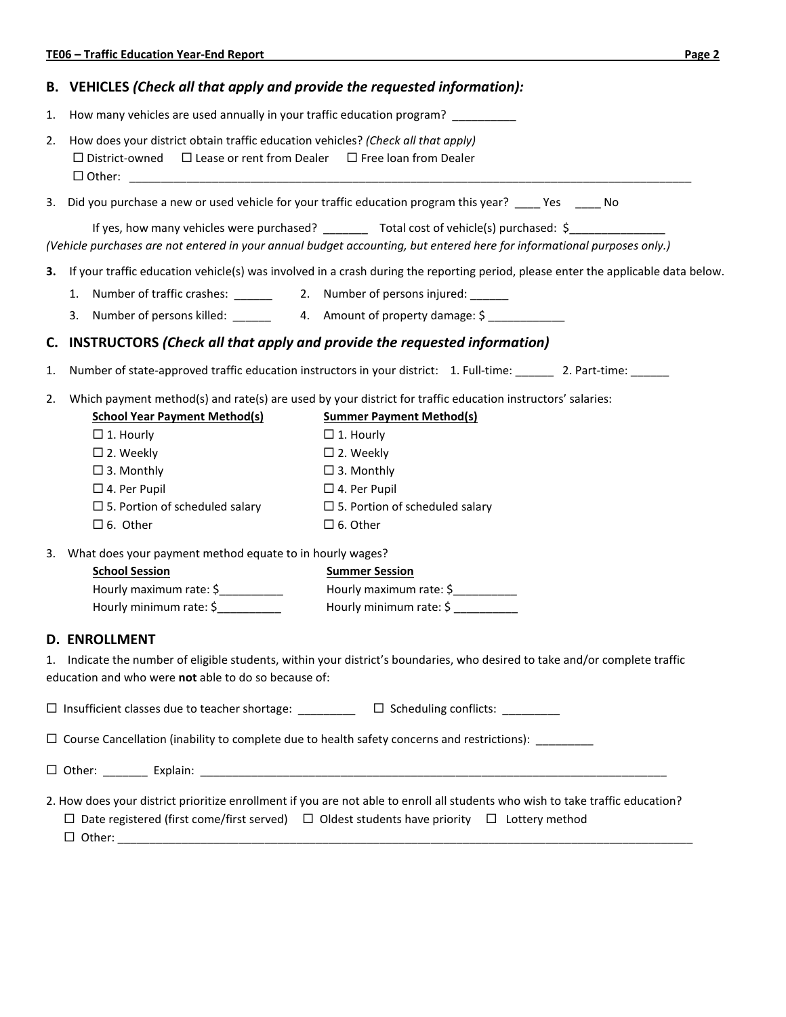|    | <b>TE06 - Traffic Education Year-End Report</b>                                                                                                                                                                                                                                                                                                                                                                                                                                                                                                                                 | Page 2 |  |  |  |
|----|---------------------------------------------------------------------------------------------------------------------------------------------------------------------------------------------------------------------------------------------------------------------------------------------------------------------------------------------------------------------------------------------------------------------------------------------------------------------------------------------------------------------------------------------------------------------------------|--------|--|--|--|
|    | B. VEHICLES (Check all that apply and provide the requested information):                                                                                                                                                                                                                                                                                                                                                                                                                                                                                                       |        |  |  |  |
| 1. | How many vehicles are used annually in your traffic education program?                                                                                                                                                                                                                                                                                                                                                                                                                                                                                                          |        |  |  |  |
| 2. | How does your district obtain traffic education vehicles? (Check all that apply)<br>$\Box$ Lease or rent from Dealer $\Box$ Free loan from Dealer<br>$\Box$ District-owned                                                                                                                                                                                                                                                                                                                                                                                                      |        |  |  |  |
|    | 3. Did you purchase a new or used vehicle for your traffic education program this year? Yes No                                                                                                                                                                                                                                                                                                                                                                                                                                                                                  |        |  |  |  |
|    | If yes, how many vehicles were purchased? _________ Total cost of vehicle(s) purchased: \$_________________<br>(Vehicle purchases are not entered in your annual budget accounting, but entered here for informational purposes only.)                                                                                                                                                                                                                                                                                                                                          |        |  |  |  |
| з. | If your traffic education vehicle(s) was involved in a crash during the reporting period, please enter the applicable data below.                                                                                                                                                                                                                                                                                                                                                                                                                                               |        |  |  |  |
|    |                                                                                                                                                                                                                                                                                                                                                                                                                                                                                                                                                                                 |        |  |  |  |
|    | 3. Number of persons killed: ________ 4. Amount of property damage: \$ __________                                                                                                                                                                                                                                                                                                                                                                                                                                                                                               |        |  |  |  |
| C. | INSTRUCTORS (Check all that apply and provide the requested information)                                                                                                                                                                                                                                                                                                                                                                                                                                                                                                        |        |  |  |  |
| 1. | Number of state-approved traffic education instructors in your district: 1. Full-time: ______ 2. Part-time: _____                                                                                                                                                                                                                                                                                                                                                                                                                                                               |        |  |  |  |
| 2. | Which payment method(s) and rate(s) are used by your district for traffic education instructors' salaries:<br><b>School Year Payment Method(s)</b><br><b>Summer Payment Method(s)</b><br>$\Box$ 1. Hourly<br>$\Box$ 1. Hourly<br>$\square$ 2. Weekly<br>$\square$ 2. Weekly<br>$\square$ 3. Monthly<br>$\square$ 3. Monthly<br>$\square$ 4. Per Pupil<br>$\Box$ 4. Per Pupil<br>$\square$ 5. Portion of scheduled salary<br>$\square$ 5. Portion of scheduled salary<br>$\square$ 6. Other<br>$\square$ 6. Other<br>3. What does your payment method equate to in hourly wages? |        |  |  |  |
|    | <b>School Session</b><br><b>Summer Session</b>                                                                                                                                                                                                                                                                                                                                                                                                                                                                                                                                  |        |  |  |  |
|    | Hourly maximum rate: \$<br>Hourly maximum rate: \$<br>Hourly minimum rate: \$<br>Hourly minimum rate: \$                                                                                                                                                                                                                                                                                                                                                                                                                                                                        |        |  |  |  |
|    | <b>D. ENROLLMENT</b><br>1. Indicate the number of eligible students, within your district's boundaries, who desired to take and/or complete traffic<br>education and who were not able to do so because of:                                                                                                                                                                                                                                                                                                                                                                     |        |  |  |  |
|    | □ Insufficient classes due to teacher shortage: _________ □ Scheduling conflicts: ________                                                                                                                                                                                                                                                                                                                                                                                                                                                                                      |        |  |  |  |
|    | $\Box$ Course Cancellation (inability to complete due to health safety concerns and restrictions): ________                                                                                                                                                                                                                                                                                                                                                                                                                                                                     |        |  |  |  |
|    |                                                                                                                                                                                                                                                                                                                                                                                                                                                                                                                                                                                 |        |  |  |  |
|    | 2. How does your district prioritize enrollment if you are not able to enroll all students who wish to take traffic education?<br>$\Box$ Date registered (first come/first served) $\Box$ Oldest students have priority $\Box$ Lottery method                                                                                                                                                                                                                                                                                                                                   |        |  |  |  |